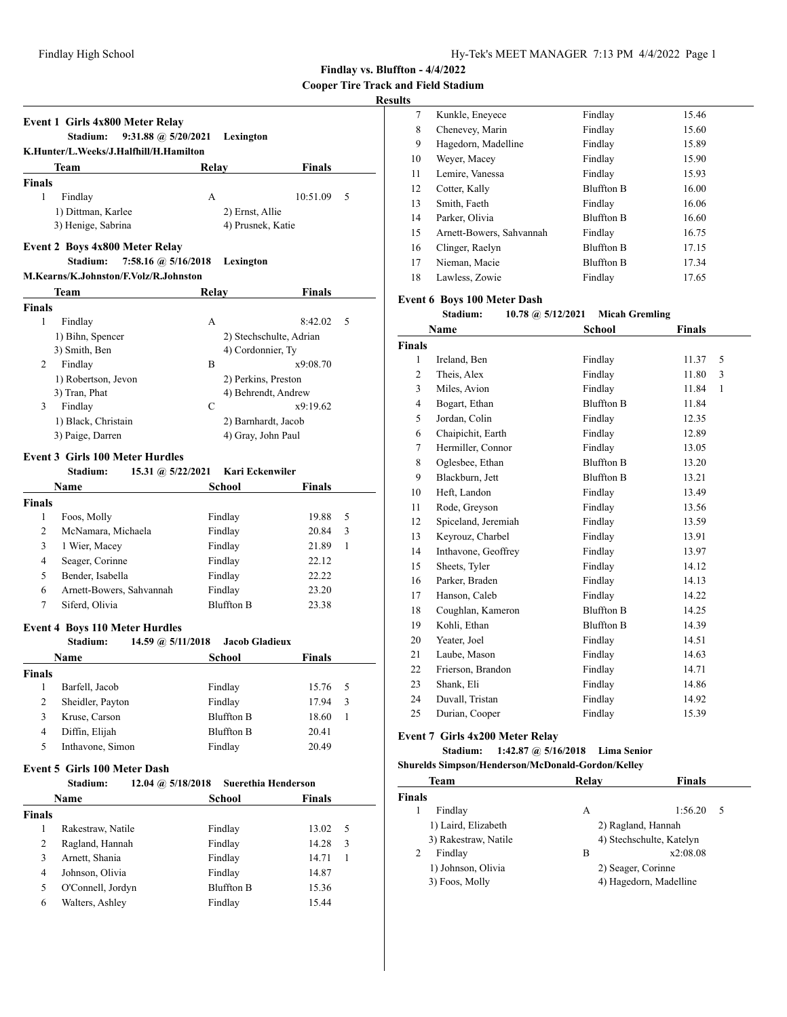**Cooper Tire Track and Field Stadium**

# **Results**

|                | Event 1 Girls 4x800 Meter Relay<br>9:31.88 @ 5/20/2021<br>Stadium: |       | Lexington                      |              |
|----------------|--------------------------------------------------------------------|-------|--------------------------------|--------------|
|                | K.Hunter/L.Weeks/J.Halfhill/H.Hamilton                             |       |                                |              |
|                | Team                                                               | Relay | Finals                         |              |
| <b>Finals</b>  |                                                                    |       |                                |              |
| 1              | Findlay                                                            | A     | 10:51.09                       | 5            |
|                | 1) Dittman, Karlee                                                 |       | 2) Ernst, Allie                |              |
|                | 3) Henige, Sabrina                                                 |       | 4) Prusnek, Katie              |              |
|                | Event 2 Boys 4x800 Meter Relay                                     |       |                                |              |
|                | Stadium:<br>7:58.16 @ 5/16/2018                                    |       | Lexington                      |              |
|                | M.Kearns/K.Johnston/F.Volz/R.Johnston                              |       |                                |              |
|                | Team                                                               | Relay | <b>Finals</b>                  |              |
| <b>Finals</b>  |                                                                    |       |                                |              |
| 1              | Findlay                                                            | A     | 8:42.02                        | 5            |
|                | 1) Bihn, Spencer                                                   |       | 2) Stechschulte, Adrian        |              |
|                | 3) Smith, Ben                                                      |       | 4) Cordonnier, Ty              |              |
| 2              | Findlay                                                            | B     | x9:08.70                       |              |
|                | 1) Robertson, Jevon                                                |       | 2) Perkins, Preston            |              |
|                | 3) Tran, Phat                                                      |       | 4) Behrendt, Andrew            |              |
| $3^{\circ}$    | Findlay                                                            | C     | x9:19.62                       |              |
|                | 1) Black, Christain                                                |       | 2) Barnhardt, Jacob            |              |
|                | 3) Paige, Darren                                                   |       | 4) Gray, John Paul             |              |
|                | <b>Event 3 Girls 100 Meter Hurdles</b>                             |       |                                |              |
|                | 15.31 @ 5/22/2021<br>Stadium:                                      |       | Kari Eckenwiler                |              |
|                | Name                                                               |       | School<br>Finals               |              |
| <b>Finals</b>  |                                                                    |       |                                |              |
| 1              | Foos, Molly                                                        |       | Findlay<br>19.88               | 5            |
| $\overline{2}$ | McNamara, Michaela                                                 |       | Findlay<br>20.84               | 3            |
| 3              | 1 Wier, Macey                                                      |       | Findlay<br>21.89               | 1            |
| 4              | Seager, Corinne                                                    |       | Findlay<br>22.12               |              |
| 5              | Bender, Isabella                                                   |       | Findlay<br>22.22               |              |
| 6              | Arnett-Bowers, Sahvannah                                           |       | Findlay<br>23.20               |              |
| 7              | Siferd, Olivia                                                     |       | <b>Bluffton B</b><br>23.38     |              |
|                | <b>Event 4 Boys 110 Meter Hurdles</b>                              |       |                                |              |
|                | Stadium:<br>14.59 @ $5/11/2018$                                    |       | <b>Jacob Gladieux</b>          |              |
|                | <b>Name</b>                                                        |       | School<br>Finals               |              |
| <b>Finals</b>  |                                                                    |       |                                |              |
| $\mathbf{1}$   | Barfell, Jacob                                                     |       | Findlay<br>15.76               | 5            |
| $\overline{c}$ | Sheidler, Payton                                                   |       | Findlay<br>17.94               | 3            |
| 3              | Kruse, Carson                                                      |       | <b>Bluffton B</b><br>18.60     | $\mathbf{1}$ |
| 4              | Diffin, Elijah                                                     |       | <b>Bluffton B</b><br>20.41     |              |
| 5              | Inthavone, Simon                                                   |       | Findlay<br>20.49               |              |
|                | Event 5 Girls 100 Meter Dash                                       |       |                                |              |
|                | Stadium:<br>12.04 @ $5/18/2018$                                    |       | <b>Suerethia Henderson</b>     |              |
|                | Name                                                               |       | <b>School</b><br><b>Finals</b> |              |
| Finals         |                                                                    |       |                                |              |
| 1              | Rakestraw, Natile                                                  |       | Findlay<br>13.02               | 5            |
| $\overline{c}$ | Ragland, Hannah                                                    |       | Findlay<br>14.28               | 3            |
| 3              | Arnett, Shania                                                     |       | Findlay<br>14.71               | 1            |
| $\overline{4}$ | Johnson, Olivia                                                    |       | Findlay<br>14.87               |              |
| 5              | O'Connell, Jordyn                                                  |       | <b>Bluffton B</b><br>15.36     |              |
| 6              | Walters, Ashley                                                    |       | Findlay<br>15.44               |              |
|                |                                                                    |       |                                |              |

| . . |                          |                   |       |
|-----|--------------------------|-------------------|-------|
| 7   | Kunkle, Eneyece          | Findlay           | 15.46 |
| 8   | Chenevey, Marin          | Findlay           | 15.60 |
| 9   | Hagedorn, Madelline      | Findlay           | 15.89 |
| 10  | Wever, Macey             | Findlay           | 15.90 |
| 11  | Lemire, Vanessa          | Findlay           | 15.93 |
| 12  | Cotter, Kally            | <b>Bluffton B</b> | 16.00 |
| 13  | Smith, Faeth             | Findlay           | 16.06 |
| 14  | Parker, Olivia           | <b>Bluffton B</b> | 16.60 |
| 15  | Arnett-Bowers, Sahvannah | Findlay           | 16.75 |
| 16  | Clinger, Raelyn          | <b>Bluffton B</b> | 17.15 |
| 17  | Nieman, Macie            | <b>Bluffton B</b> | 17.34 |
| 18  | Lawless, Zowie           | Findlay           | 17.65 |
|     |                          |                   |       |

# **Event 6 Boys 100 Meter Dash**

# **Stadium: 10.78 @ 5/12/2021 Micah Gremling**

|                | Name                | <b>School</b>     | <b>Finals</b>         |  |
|----------------|---------------------|-------------------|-----------------------|--|
| Finals         |                     |                   |                       |  |
| 1              | Ireland, Ben        | Findlay           | 11.37<br>5            |  |
| 2              | Theis, Alex         | Findlay           | 11.80<br>3            |  |
| 3              | Miles, Avion        | Findlay           | 11.84<br>$\mathbf{1}$ |  |
| $\overline{4}$ | Bogart, Ethan       | <b>Bluffton B</b> | 11.84                 |  |
| 5              | Jordan, Colin       | Findlay           | 12.35                 |  |
| 6              | Chaipichit, Earth   | Findlay           | 12.89                 |  |
| 7              | Hermiller, Connor   | Findlay           | 13.05                 |  |
| 8              | Oglesbee, Ethan     | <b>Bluffton B</b> | 13.20                 |  |
| 9              | Blackburn, Jett     | <b>Bluffton B</b> | 13.21                 |  |
| 10             | Heft, Landon        | Findlay           | 13.49                 |  |
| 11             | Rode, Greyson       | Findlay           | 13.56                 |  |
| 12             | Spiceland, Jeremiah | Findlay           | 13.59                 |  |
| 13             | Keyrouz, Charbel    | Findlay           | 13.91                 |  |
| 14             | Inthavone, Geoffrey | Findlay           | 13.97                 |  |
| 15             | Sheets, Tyler       | Findlay           | 14.12                 |  |
| 16             | Parker, Braden      | Findlay           | 14.13                 |  |
| 17             | Hanson, Caleb       | Findlay           | 14.22                 |  |
| 18             | Coughlan, Kameron   | <b>Bluffton B</b> | 14.25                 |  |
| 19             | Kohli, Ethan        | <b>Bluffton B</b> | 14.39                 |  |
| 20             | Yeater, Joel        | Findlay           | 14.51                 |  |
| 21             | Laube, Mason        | Findlay           | 14.63                 |  |
| 22             | Frierson, Brandon   | Findlay           | 14.71                 |  |
| 23             | Shank, Eli          | Findlay           | 14.86                 |  |
| 24             | Duvall, Tristan     | Findlay           | 14.92                 |  |
| 25             | Durian, Cooper      | Findlay           | 15.39                 |  |
|                |                     |                   |                       |  |

# **Event 7 Girls 4x200 Meter Relay**

**Stadium: 1:42.87 @ 5/16/2018 Lima Senior**

**Shurelds Simpson/Henderson/McDonald-Gordon/Kelley**

|               | <b>Team</b>          | Relav              | <b>Finals</b>            |
|---------------|----------------------|--------------------|--------------------------|
| <b>Finals</b> |                      |                    |                          |
|               | Findlay              | A                  | 1:56.20<br>.5            |
|               | 1) Laird, Elizabeth  | 2) Ragland, Hannah |                          |
|               | 3) Rakestraw, Natile |                    | 4) Stechschulte, Katelyn |
| 2             | Findlay              | в                  | x2:08.08                 |
|               | 1) Johnson, Olivia   | 2) Seager, Corinne |                          |
|               | 3) Foos, Molly       |                    | 4) Hagedorn, Madelline   |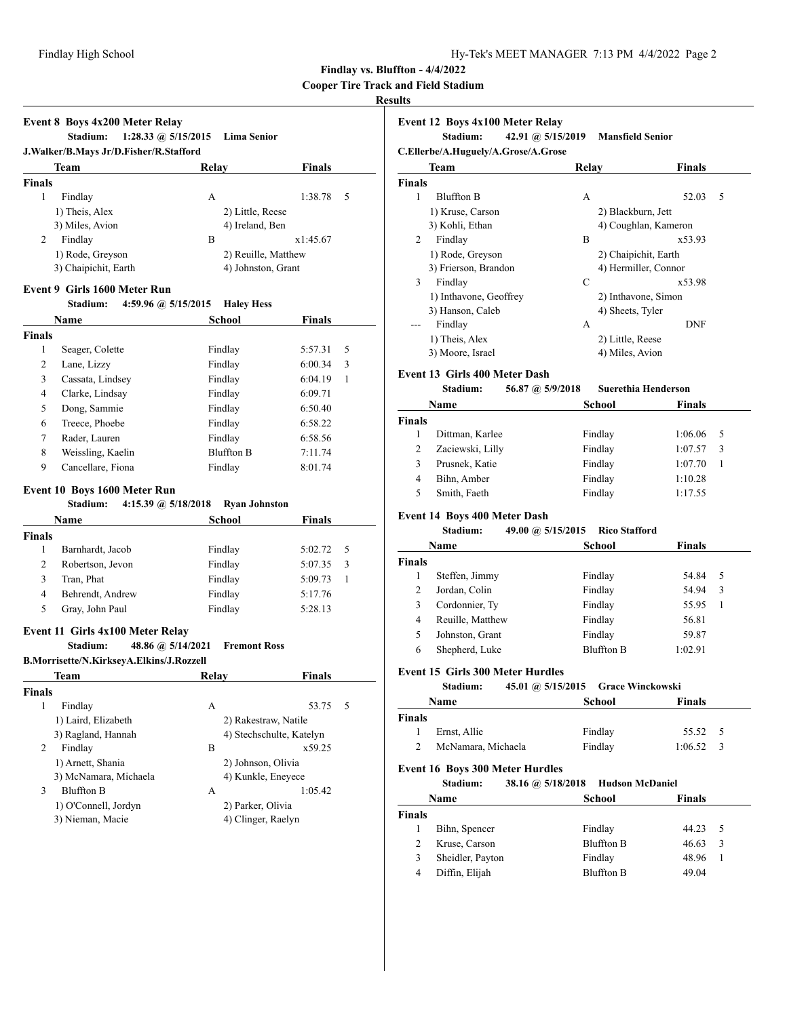**Cooper Tire Track and Field Stadium**

### **Results**

|                | Event 8 Boys 4x200 Meter Relay<br>Stadium: | 1:28.33 @ 5/15/2015 Lima Senior          |              |                          |               |             |
|----------------|--------------------------------------------|------------------------------------------|--------------|--------------------------|---------------|-------------|
|                |                                            | J.Walker/B.Mays Jr/D.Fisher/R.Stafford   |              |                          |               |             |
|                | Team                                       |                                          | Relay        |                          | <b>Finals</b> |             |
| <b>Finals</b>  |                                            |                                          |              |                          |               |             |
| 1              | Findlay                                    |                                          | A            |                          | 1:38.78       | 5           |
|                | 1) Theis, Alex                             |                                          |              | 2) Little, Reese         |               |             |
|                | 3) Miles, Avion                            |                                          |              | 4) Ireland, Ben          |               |             |
| $\overline{2}$ | Findlay                                    |                                          | B            |                          | x1:45.67      |             |
|                | 1) Rode, Greyson                           |                                          |              | 2) Reuille, Matthew      |               |             |
|                | 3) Chaipichit, Earth                       |                                          |              | 4) Johnston, Grant       |               |             |
|                | Event 9 Girls 1600 Meter Run               |                                          |              |                          |               |             |
|                | Stadium:                                   | 4:59.96 @ $5/15/2015$                    |              | <b>Haley Hess</b>        |               |             |
|                | <b>Name</b>                                |                                          |              | School                   | <b>Finals</b> |             |
| <b>Finals</b>  |                                            |                                          |              |                          |               |             |
| $\mathbf{1}$   | Seager, Colette                            |                                          |              | Findlay                  | 5:57.31       | 5           |
| $\mathbf{2}$   | Lane, Lizzy                                |                                          |              | Findlay                  | 6:00.34       | 3           |
| 3              | Cassata, Lindsey                           |                                          |              | Findlay                  | 6:04.19       | 1           |
| 4              | Clarke, Lindsay                            |                                          |              | Findlay                  | 6:09.71       |             |
| 5              | Dong, Sammie                               |                                          |              | Findlay                  | 6:50.40       |             |
| 6              | Treece, Phoebe                             |                                          |              | Findlay                  | 6:58.22       |             |
| 7              | Rader, Lauren                              |                                          |              | Findlay                  | 6:58.56       |             |
| 8              | Weissling, Kaelin                          |                                          |              | <b>Bluffton B</b>        | 7:11.74       |             |
| 9              | Cancellare, Fiona                          |                                          |              | Findlay                  | 8:01.74       |             |
|                | Event 10 Boys 1600 Meter Run               |                                          |              |                          |               |             |
|                | Stadium:                                   | 4:15.39 @ $5/18/2018$                    |              | <b>Ryan Johnston</b>     |               |             |
|                | <b>Name</b>                                |                                          |              | <b>School</b>            | <b>Finals</b> |             |
| <b>Finals</b>  |                                            |                                          |              |                          |               |             |
|                |                                            |                                          |              | Findlay                  | 5:02.72       |             |
| $\mathbf{1}$   | Barnhardt, Jacob                           |                                          |              |                          |               |             |
| 2              | Robertson, Jevon                           |                                          |              | Findlay                  | 5:07.35       |             |
| 3              | Tran, Phat                                 |                                          |              | Findlay                  | 5:09.73       |             |
| 4              | Behrendt, Andrew                           |                                          |              | Findlay                  | 5:17.76       |             |
| 5              | Gray, John Paul                            |                                          |              | Findlay                  | 5:28.13       | 5<br>3<br>1 |
|                |                                            | Event 11 Girls 4x100 Meter Relay         |              |                          |               |             |
|                | Stadium:                                   | 48.86 @ 5/14/2021                        |              | <b>Fremont Ross</b>      |               |             |
|                |                                            | B.Morrisette/N.KirkseyA.Elkins/J.Rozzell |              |                          |               |             |
|                | <b>Team</b>                                |                                          | <b>Relay</b> |                          | <b>Finals</b> |             |
|                |                                            |                                          |              |                          |               |             |
| $\mathbf{1}$   | Findlay                                    |                                          | A            |                          | 53.75         |             |
|                | 1) Laird, Elizabeth                        |                                          |              | 2) Rakestraw, Natile     |               |             |
| Finals         | 3) Ragland, Hannah                         |                                          |              | 4) Stechschulte, Katelyn |               |             |
| 2              | Findlay                                    |                                          | B            |                          | x59.25        | 5           |
|                | 1) Arnett, Shania                          |                                          |              | 2) Johnson, Olivia       |               |             |
| 3              | 3) McNamara, Michaela<br><b>Bluffton B</b> |                                          | A            | 4) Kunkle, Enevece       | 1:05.42       |             |
|                | 1) O'Connell, Jordyn                       |                                          |              | 2) Parker, Olivia        |               |             |

| <b>Event 12 Boys 4x100 Meter Relay</b> |                                 |                  |           |  |
|----------------------------------------|---------------------------------|------------------|-----------|--|
|                                        | Stadium: $42.91\ (a) 5/15/2019$ | Mansfield Senior |           |  |
| C.Ellerbe/A.Huguely/A.Grose/A.Grose    |                                 |                  |           |  |
| Team                                   | Relay                           |                  | Finals    |  |
| Finals                                 |                                 |                  |           |  |
| ה מוח                                  |                                 |                  | $\sim$ 00 |  |

|   | <b>Bluffton B</b>      | А | 52.03                | 5 |
|---|------------------------|---|----------------------|---|
|   | 1) Kruse, Carson       |   | 2) Blackburn, Jett   |   |
|   | 3) Kohli, Ethan        |   | 4) Coughlan, Kameron |   |
| 2 | Findlay                | В | x53.93               |   |
|   | 1) Rode, Greyson       |   | 2) Chaipichit, Earth |   |
|   | 3) Frierson, Brandon   |   | 4) Hermiller, Connor |   |
| 3 | Findlay                | C | x53.98               |   |
|   | 1) Inthavone, Geoffrey |   | 2) Inthavone, Simon  |   |
|   | 3) Hanson, Caleb       |   | 4) Sheets, Tyler     |   |
|   | Findlay                | А | <b>DNF</b>           |   |
|   | 1) Theis, Alex         |   | 2) Little, Reese     |   |
|   | 3) Moore, Israel       |   | 4) Miles, Avion      |   |

# **Event 13 Girls 400 Meter Dash**

|               | рисне то знать тоо втеме разн |                  |                     |               |     |
|---------------|-------------------------------|------------------|---------------------|---------------|-----|
|               | Stadium:                      | 56.87 @ 5/9/2018 | Suerethia Henderson |               |     |
|               | <b>Name</b>                   |                  | School              | <b>Finals</b> |     |
| <b>Finals</b> |                               |                  |                     |               |     |
|               | Dittman, Karlee               |                  | Findlay             | 1:06.06       | - 5 |
| 2             | Zaciewski, Lilly              |                  | Findlay             | 1:07.57       | 3   |
| 3             | Prusnek, Katie                |                  | Findlay             | 1:07.70       | 1   |
| 4             | Bihn, Amber                   |                  | Findlay             | 1:10.28       |     |
| 5             | Smith, Faeth                  |                  | Findlay             | 1:17.55       |     |

# **Event 14 Boys 400 Meter Dash**

# **Stadium: 49.00 @ 5/15/2015 Rico Stafford**

| 5 |
|---|
| 3 |
| 1 |
|   |
|   |
|   |
|   |

## **Event 15 Girls 300 Meter Hurdles**

**Stadium: 45.01 @ 5/15/2015 Grace Winckowski**

|               | <b>Name</b>        | School  | <b>Finals</b>     |
|---------------|--------------------|---------|-------------------|
| <b>Finals</b> |                    |         |                   |
|               | Ernst, Allie       | Findlay | 55.52<br>- 5      |
|               | McNamara, Michaela | Findlay | $1:06.52 \quad 3$ |

# **Event 16 Boys 300 Meter Hurdles**

**Stadium: 38.16 @ 5/18/2018 Hudson McDaniel**

|               | Name             | School            | <b>Finals</b> |
|---------------|------------------|-------------------|---------------|
| <b>Finals</b> |                  |                   |               |
|               | Bihn, Spencer    | Findlay           | 44.23<br>- 5  |
| 2             | Kruse, Carson    | <b>Bluffton B</b> | 46.63<br>3    |
| 3             | Sheidler, Payton | Findlay           | 48.96         |
| 4             | Diffin, Elijah   | <b>Bluffton B</b> | 49.04         |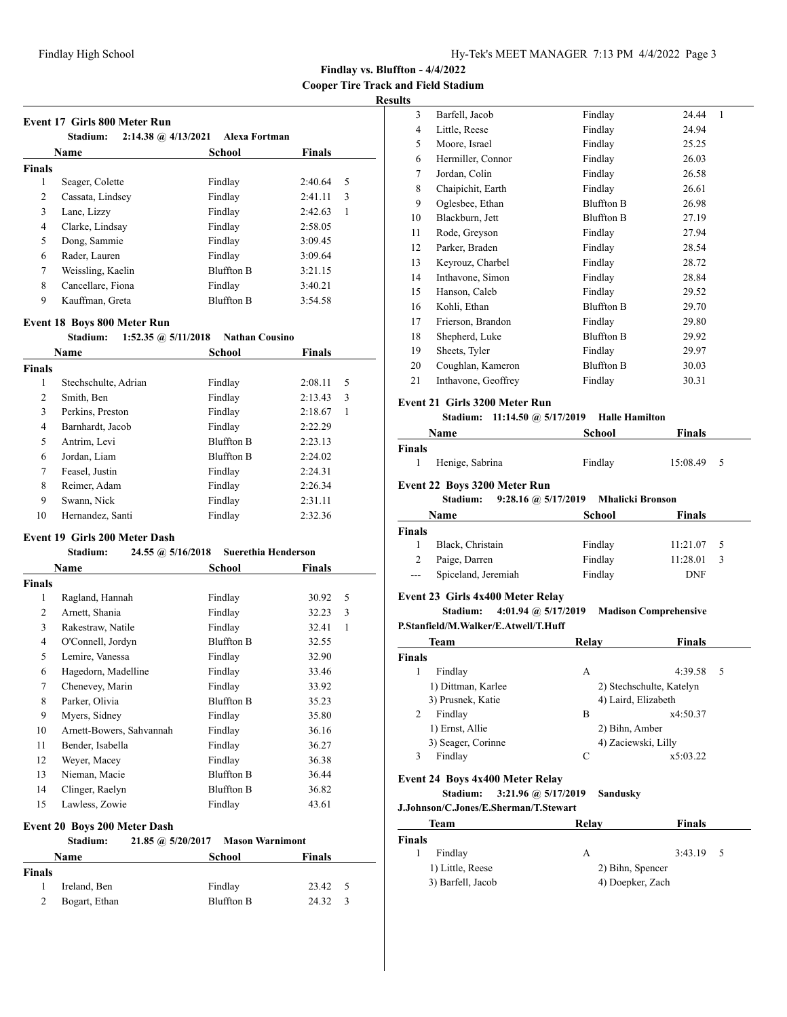**Cooper Tire Track and Field Stadium**

# **Results**

| Event 17 Girls 800 Meter Run<br>2:14.38 @ 4/13/2021 Alexa Fortman<br><b>Stadium:</b> |                   |                   |              |  |
|--------------------------------------------------------------------------------------|-------------------|-------------------|--------------|--|
| School<br><b>Finals</b><br>Name                                                      |                   |                   |              |  |
| <b>Finals</b>                                                                        |                   |                   |              |  |
| 1                                                                                    | Seager, Colette   | Findlay           | 2:40.64<br>5 |  |
| 2                                                                                    | Cassata, Lindsey  | Findlay           | 3<br>2:41.11 |  |
| 3                                                                                    | Lane, Lizzy       | Findlay           | 2:42.63<br>1 |  |
| 4                                                                                    | Clarke, Lindsay   | Findlay           | 2:58.05      |  |
| 5                                                                                    | Dong, Sammie      | Findlay           | 3:09.45      |  |
| 6                                                                                    | Rader, Lauren     | Findlay           | 3:09.64      |  |
| 7                                                                                    | Weissling, Kaelin | <b>Bluffton B</b> | 3:21.15      |  |
| 8                                                                                    | Cancellare, Fiona | Findlay           | 3:40.21      |  |
| 9                                                                                    | Kauffman, Greta   | <b>Bluffton B</b> | 3:54.58      |  |

# **Event 18 Boys 800 Meter Run**

|                | Stadium:             | 1:52.35 @ $5/11/2018$ | <b>Nathan Cousino</b> |               |   |
|----------------|----------------------|-----------------------|-----------------------|---------------|---|
|                | Name                 |                       | School                | <b>Finals</b> |   |
| <b>Finals</b>  |                      |                       |                       |               |   |
| 1              | Stechschulte, Adrian |                       | Findlay               | 2:08.11       | 5 |
| 2              | Smith, Ben           |                       | Findlay               | 2:13.43       | 3 |
| 3              | Perkins, Preston     |                       | Findlay               | 2:18.67       | 1 |
| $\overline{4}$ | Barnhardt, Jacob     |                       | Findlay               | 2:22.29       |   |
| 5              | Antrim, Levi         |                       | <b>Bluffton B</b>     | 2:23.13       |   |
| 6              | Jordan, Liam         |                       | <b>Bluffton B</b>     | 2:24.02       |   |
| 7              | Feasel, Justin       |                       | Findlay               | 2:24.31       |   |
| 8              | Reimer, Adam         |                       | Findlay               | 2:26.34       |   |
| 9              | Swann, Nick          |                       | Findlay               | 2:31.11       |   |
| 10             | Hernandez, Santi     |                       | Findlay               | 2:32.36       |   |

# **Event 19 Girls 200 Meter Dash**

|        | Stadium:                 | 24.55 @ 5/16/2018 | Suerethia Henderson |        |   |
|--------|--------------------------|-------------------|---------------------|--------|---|
|        | Name                     |                   | School              | Finals |   |
| Finals |                          |                   |                     |        |   |
| 1      | Ragland, Hannah          |                   | Findlay             | 30.92  | 5 |
| 2      | Arnett, Shania           |                   | Findlay             | 32.23  | 3 |
| 3      | Rakestraw, Natile        |                   | Findlay             | 32.41  | 1 |
| 4      | O'Connell, Jordyn        |                   | Bluffton B          | 32.55  |   |
| 5      | Lemire, Vanessa          |                   | Findlay             | 32.90  |   |
| 6      | Hagedorn, Madelline      |                   | Findlay             | 33.46  |   |
| 7      | Chenevey, Marin          |                   | Findlay             | 33.92  |   |
| 8      | Parker, Olivia           |                   | Bluffton B          | 35.23  |   |
| 9      | Myers, Sidney            |                   | Findlay             | 35.80  |   |
| 10     | Arnett-Bowers, Sahvannah |                   | Findlay             | 36.16  |   |
| 11     | Bender, Isabella         |                   | Findlay             | 36.27  |   |
| 12     | Wever, Macey             |                   | Findlay             | 36.38  |   |
| 13     | Nieman, Macie            |                   | Bluffton B          | 36.44  |   |
| 14     | Clinger, Raelyn          |                   | Bluffton B          | 36.82  |   |
| 15     | Lawless, Zowie           |                   | Findlay             | 43.61  |   |
|        |                          |                   |                     |        |   |

# **Event 20 Boys 200 Meter Dash**

|               | Stadium:      | 21.85 @ 5/20/2017 Mason Warnimont |                   |               |               |  |
|---------------|---------------|-----------------------------------|-------------------|---------------|---------------|--|
|               | Name          |                                   | School            | <b>Finals</b> |               |  |
| <b>Finals</b> |               |                                   |                   |               |               |  |
|               | Ireland, Ben  |                                   | Findlay           | 23.42 5       |               |  |
|               | Bogart, Ethan |                                   | <b>Bluffton B</b> | 24.32         | $\mathcal{R}$ |  |

| L.J |                     |                   |            |
|-----|---------------------|-------------------|------------|
| 3   | Barfell, Jacob      | Findlay           | 24.44<br>1 |
| 4   | Little, Reese       | Findlay           | 24.94      |
| 5   | Moore, Israel       | Findlay           | 25.25      |
| 6   | Hermiller, Connor   | Findlay           | 26.03      |
| 7   | Jordan, Colin       | Findlay           | 26.58      |
| 8   | Chaipichit, Earth   | Findlay           | 26.61      |
| 9   | Oglesbee, Ethan     | <b>Bluffton B</b> | 26.98      |
| 10  | Blackburn, Jett     | <b>Bluffton B</b> | 27.19      |
| 11  | Rode, Greyson       | Findlay           | 27.94      |
| 12  | Parker, Braden      | Findlay           | 28.54      |
| 13  | Keyrouz, Charbel    | Findlay           | 28.72      |
| 14  | Inthavone, Simon    | Findlay           | 28.84      |
| 15  | Hanson, Caleb       | Findlay           | 29.52      |
| 16  | Kohli, Ethan        | <b>Bluffton B</b> | 29.70      |
| 17  | Frierson, Brandon   | Findlay           | 29.80      |
| 18  | Shepherd, Luke      | <b>Bluffton B</b> | 29.92      |
| 19  | Sheets, Tyler       | Findlay           | 29.97      |
| 20  | Coughlan, Kameron   | <b>Bluffton B</b> | 30.03      |
| 21  | Inthavone, Geoffrey | Findlay           | 30.31      |
|     |                     |                   |            |

# **Event 21 Girls 3200 Meter Run**

|  | Stadium: $11:14.50 \ (a) \ \frac{5}{17/2019}$ | <b>Halle Hamilton</b> |
|--|-----------------------------------------------|-----------------------|
|--|-----------------------------------------------|-----------------------|

| Name                     | School  | <b>Finals</b>   |
|--------------------------|---------|-----------------|
| <b>Finals</b>            |         |                 |
| Henige, Sabrina          | Findlay | 15:08:49<br>- 5 |
| $E = 133 B$ $3300 M + D$ |         |                 |

# **Event 22 Boys 3200 Meter Run**

| Stadium: | $9:28.16 \; \textcircled{a} \; 5/17/2019$ | <b>Mhalicki Bronson</b> |
|----------|-------------------------------------------|-------------------------|
|----------|-------------------------------------------|-------------------------|

| Name                |                     | School  | <b>Finals</b>  |
|---------------------|---------------------|---------|----------------|
| <b>Finals</b>       |                     |         |                |
|                     | Black, Christain    | Findlay | $11:21.07$ 5   |
| 2                   | Paige, Darren       | Findlay | 11:28.01<br>-3 |
| $\qquad \qquad - -$ | Spiceland, Jeremiah | Findlay | <b>DNF</b>     |

# **Event 23 Girls 4x400 Meter Relay**

# **Stadium: 4:01.94 @ 5/17/2019 Madison Comprehensive**

|               | Team                                                                                        | Relay                             | <b>Finals</b>            |
|---------------|---------------------------------------------------------------------------------------------|-----------------------------------|--------------------------|
| <b>Finals</b> |                                                                                             |                                   |                          |
| 1             | Findlay                                                                                     | А                                 | 4:39.58<br>5             |
|               | 1) Dittman, Karlee                                                                          |                                   | 2) Stechschulte, Katelyn |
|               | 3) Prusnek, Katie                                                                           |                                   | 4) Laird, Elizabeth      |
| 2             | Findlay                                                                                     | B                                 | x4:50.37                 |
|               | 1) Ernst, Allie                                                                             | 2) Bihn, Amber                    |                          |
|               | 3) Seager, Corinne                                                                          |                                   | 4) Zaciewski, Lilly      |
| 3             | Findlay                                                                                     | С                                 | x5:03.22                 |
|               | <b>Event 24 Boys 4x400 Meter Relay</b><br>Stadium:<br>J.Johnson/C.Jones/E.Sherman/T.Stewart | 3:21.96 @ $5/17/2019$<br>Sandusky |                          |

| Team              | Relay            | <b>Finals</b>  |
|-------------------|------------------|----------------|
| <b>Finals</b>     |                  |                |
| Findlay           | А                | 3:43.19<br>- 5 |
| 1) Little, Reese  | 2) Bihn, Spencer |                |
| 3) Barfell, Jacob | 4) Doepker, Zach |                |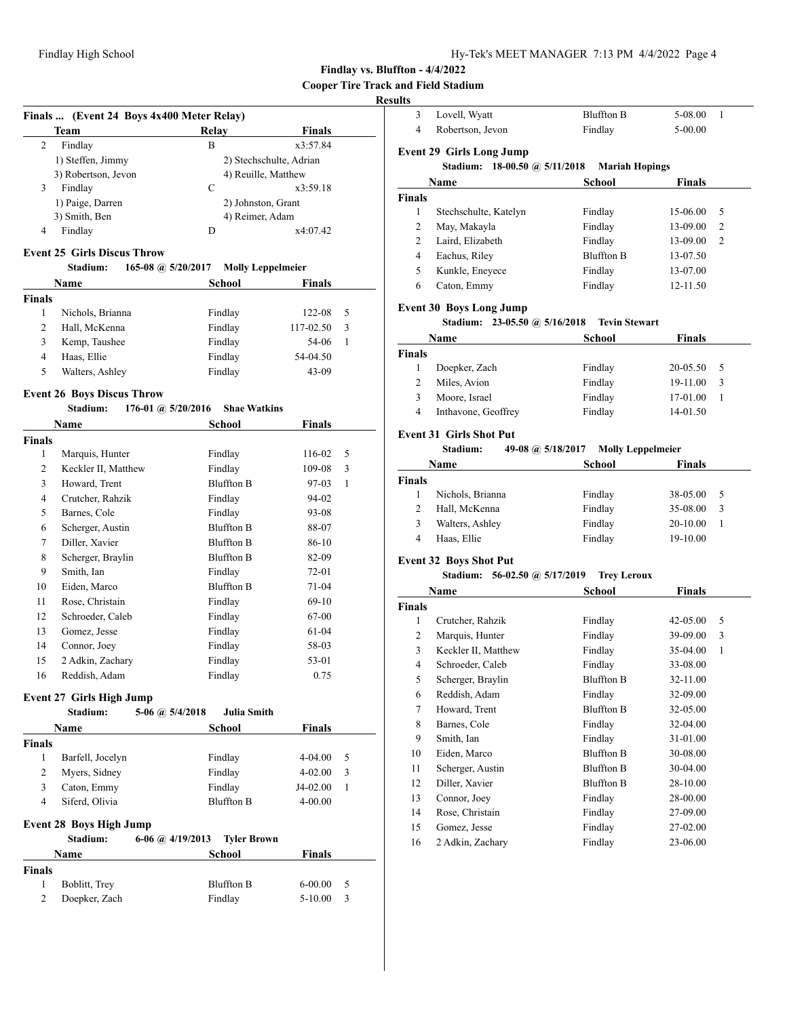### **Cooper Tire Track and Field Stadium**

### **Results**

| Team                | Relav               | <b>Finals</b>           |
|---------------------|---------------------|-------------------------|
| Findlay<br>2        | В                   | x3:57.84                |
| 1) Steffen, Jimmy   |                     | 2) Stechschulte, Adrian |
| 3) Robertson, Jevon | 4) Reuille, Matthew |                         |
| 3<br>Findlay        | С                   | x3:59.18                |
| 1) Paige, Darren    |                     | 2) Johnston, Grant      |
| 3) Smith, Ben       | 4) Reimer, Adam     |                         |
| Findlay<br>4        | D                   | x4:07.42                |

### **Event 25 Girls Discus Throw**

| Stadium: | 165-08 @ $5/20/2017$ | <b>Molly Leppelmeier</b> |
|----------|----------------------|--------------------------|
|----------|----------------------|--------------------------|

|                  | School      | <b>Finals</b> |    |
|------------------|-------------|---------------|----|
|                  |             |               |    |
| Nichols, Brianna | Findlay     | 122-08        | -5 |
| Hall, McKenna    | Findlay     | $117 - 02.50$ | 3  |
| Kemp, Taushee    | Findlay     | 54-06         |    |
| Haas, Ellie      | Findlay     | 54-04.50      |    |
| Walters, Ashley  | Findlay     | $43 - 09$     |    |
|                  | <b>Name</b> |               |    |

### **Event 26 Boys Discus Throw**

| Stadium: |  | 176-01 @ $5/20/2016$ | <b>Shae Watkins</b> |
|----------|--|----------------------|---------------------|
|----------|--|----------------------|---------------------|

| Name<br>School |                     | Finals            |             |  |
|----------------|---------------------|-------------------|-------------|--|
| <b>Finals</b>  |                     |                   |             |  |
| 1              | Marquis, Hunter     | Findlay           | 5<br>116-02 |  |
| $\overline{2}$ | Keckler II, Matthew | Findlay           | 3<br>109-08 |  |
| 3              | Howard, Trent       | Bluffton B        | 1<br>97-03  |  |
| 4              | Crutcher, Rahzik    | Findlay           | 94-02       |  |
| 5              | Barnes, Cole        | Findlay           | 93-08       |  |
| 6              | Scherger, Austin    | <b>Bluffton B</b> | 88-07       |  |
| 7              | Diller, Xavier      | <b>Bluffton B</b> | 86-10       |  |
| 8              | Scherger, Braylin   | Bluffton B        | 82-09       |  |
| 9              | Smith, Ian          | Findlay           | 72-01       |  |
| 10             | Eiden, Marco        | <b>Bluffton B</b> | $71-04$     |  |
| 11             | Rose, Christain     | Findlay           | $69-10$     |  |
| 12             | Schroeder, Caleb    | Findlay           | 67-00       |  |
| 13             | Gomez, Jesse        | Findlay           | 61-04       |  |
| 14             | Connor, Joey        | Findlay           | 58-03       |  |
| 15             | 2 Adkin, Zachary    | Findlay           | 53-01       |  |
| 16             | Reddish, Adam       | Findlay           | 0.75        |  |

### **Event 27 Girls High Jump**

|               | Stadium:                       | 5-06 @ 5/4/2018      | <b>Julia Smith</b> |               |   |
|---------------|--------------------------------|----------------------|--------------------|---------------|---|
|               | Name                           |                      | School             | <b>Finals</b> |   |
| <b>Finals</b> |                                |                      |                    |               |   |
| 1             | Barfell, Jocelyn               |                      | Findlay            | $4 - 04.00$   | 5 |
| 2             | Myers, Sidney                  |                      | Findlay            | $4 - 02.00$   | 3 |
| 3             | Caton, Emmy                    |                      | Findlay            | $J4-02.00$    | 1 |
| 4             | Siferd, Olivia                 |                      | <b>Bluffton B</b>  | $4 - 00.00$   |   |
|               | <b>Event 28 Boys High Jump</b> |                      |                    |               |   |
|               | Stadium:                       | $6-06$ @ $4/19/2013$ | <b>Tyler Brown</b> |               |   |
|               | <b>Name</b>                    |                      | School             | <b>Finals</b> |   |
| <b>Finals</b> |                                |                      |                    |               |   |
| 1             | Boblitt, Trey                  |                      | <b>Bluffton B</b>  | $6 - 00.00$   | 5 |
| 2             | Doepker, Zach                  |                      | Findlay            | $5 - 10.00$   | 3 |
|               |                                |                      |                    |               |   |

| 4             | Robertson, Jevon                 | Findlay               | $5-00.00$     |
|---------------|----------------------------------|-----------------------|---------------|
|               | <b>Event 29 Girls Long Jump</b>  |                       |               |
|               | 18-00.50 @ 5/11/2018<br>Stadium: | <b>Mariah Hopings</b> |               |
|               | Name                             | School                | Finals        |
| <b>Finals</b> |                                  |                       |               |
| 1             | Stechschulte, Katelyn            | Findlay               | 15-06.00<br>5 |
| 2             | May, Makayla                     | Findlay               | 13-09.00<br>2 |
| 2             | Laird, Elizabeth                 | Findlay               | 13-09.00<br>2 |
| 4             | Eachus, Riley                    | <b>Bluffton B</b>     | 13-07.50      |
| 5             | Kunkle, Eneyece                  | Findlay               | 13-07.00      |
| 6             | Caton, Emmy                      | Findlay               | 12-11.50      |
|               | <b>Event 30 Boys Long Jump</b>   |                       |               |

3 Lovell, Wyatt Bluffton B 5-08.00 1

#### **Stadium: 23-05.50 @ 5/16/2018 Tevin Stewart**

|               | Name                | School  | <b>Finals</b>       |
|---------------|---------------------|---------|---------------------|
| <b>Finals</b> |                     |         |                     |
|               | Doepker, Zach       | Findlay | $20 - 05.50$<br>- 5 |
|               | Miles, Avion        | Findlay | 19-11.00<br>3       |
| 3             | Moore, Israel       | Findlay | 17-01.00            |
| 4             | Inthavone, Geoffrey | Findlay | 14-01.50            |

# **Event 31 Girls Shot Put**

# **Stadium: 49-08 @ 5/18/2017 Molly Leppelmeier**

|               | <b>Name</b>      | School  | <b>Finals</b>  |  |
|---------------|------------------|---------|----------------|--|
| <b>Finals</b> |                  |         |                |  |
|               | Nichols, Brianna | Findlay | 38-05.00<br>-5 |  |
| 2             | Hall, McKenna    | Findlay | 35-08.00<br>3  |  |
| 3             | Walters, Ashley  | Findlay | 20-10.00       |  |
| 4             | Haas, Ellie      | Findlay | 19-10.00       |  |

# **Event 32 Boys Shot Put**

# **Stadium: 56-02.50 @ 5/17/2019 Trey Leroux**

|                | Name                | <b>School</b>     | Finals   |   |
|----------------|---------------------|-------------------|----------|---|
| <b>Finals</b>  |                     |                   |          |   |
| 1              | Crutcher, Rahzik    | Findlay           | 42-05.00 | 5 |
| $\overline{c}$ | Marquis, Hunter     | Findlay           | 39-09.00 | 3 |
| 3              | Keckler II, Matthew | Findlay           | 35-04.00 | 1 |
| 4              | Schroeder, Caleb    | Findlay           | 33-08.00 |   |
| 5              | Scherger, Braylin   | Bluffton B        | 32-11.00 |   |
| 6              | Reddish, Adam       | Findlay           | 32-09.00 |   |
| 7              | Howard, Trent       | <b>Bluffton B</b> | 32-05.00 |   |
| 8              | Barnes, Cole        | Findlay           | 32-04.00 |   |
| 9              | Smith, Ian          | Findlay           | 31-01.00 |   |
| 10             | Eiden, Marco        | <b>Bluffton B</b> | 30-08.00 |   |
| 11             | Scherger, Austin    | Bluffton B        | 30-04.00 |   |
| 12             | Diller, Xavier      | <b>Bluffton B</b> | 28-10.00 |   |
| 13             | Connor, Joey        | Findlay           | 28-00.00 |   |
| 14             | Rose, Christain     | Findlay           | 27-09.00 |   |
| 15             | Gomez, Jesse        | Findlay           | 27-02.00 |   |
| 16             | 2 Adkin, Zachary    | Findlay           | 23-06.00 |   |